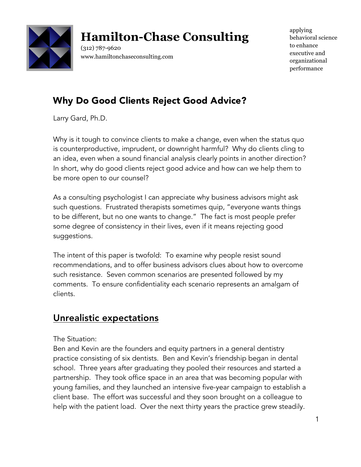

# **Hamilton-Chase Consulting**

(312) 787-9620 www.hamiltonchaseconsulting.com applying behavioral science to enhance executive and organizational performance

# Why Do Good Clients Reject Good Advice?

Larry Gard, Ph.D.

Why is it tough to convince clients to make a change, even when the status quo is counterproductive, imprudent, or downright harmful? Why do clients cling to an idea, even when a sound financial analysis clearly points in another direction? In short, why do good clients reject good advice and how can we help them to be more open to our counsel?

As a consulting psychologist I can appreciate why business advisors might ask such questions. Frustrated therapists sometimes quip, "everyone wants things to be different, but no one wants to change." The fact is most people prefer some degree of consistency in their lives, even if it means rejecting good suggestions.

The intent of this paper is twofold: To examine why people resist sound recommendations, and to offer business advisors clues about how to overcome such resistance. Seven common scenarios are presented followed by my comments. To ensure confidentiality each scenario represents an amalgam of clients.

# Unrealistic expectations

The Situation:

Ben and Kevin are the founders and equity partners in a general dentistry practice consisting of six dentists. Ben and Kevin's friendship began in dental school. Three years after graduating they pooled their resources and started a partnership. They took office space in an area that was becoming popular with young families, and they launched an intensive five-year campaign to establish a client base. The effort was successful and they soon brought on a colleague to help with the patient load. Over the next thirty years the practice grew steadily.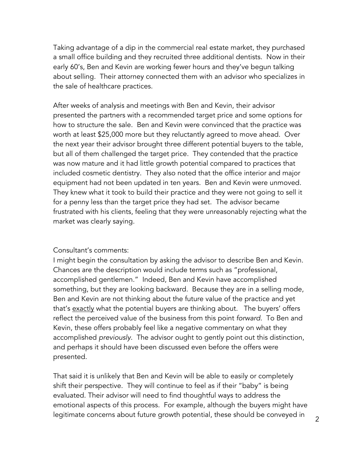Taking advantage of a dip in the commercial real estate market, they purchased a small office building and they recruited three additional dentists. Now in their early 60's, Ben and Kevin are working fewer hours and they've begun talking about selling. Their attorney connected them with an advisor who specializes in the sale of healthcare practices.

After weeks of analysis and meetings with Ben and Kevin, their advisor presented the partners with a recommended target price and some options for how to structure the sale. Ben and Kevin were convinced that the practice was worth at least \$25,000 more but they reluctantly agreed to move ahead. Over the next year their advisor brought three different potential buyers to the table, but all of them challenged the target price. They contended that the practice was now mature and it had little growth potential compared to practices that included cosmetic dentistry. They also noted that the office interior and major equipment had not been updated in ten years. Ben and Kevin were unmoved. They knew what it took to build their practice and they were not going to sell it for a penny less than the target price they had set. The advisor became frustrated with his clients, feeling that they were unreasonably rejecting what the market was clearly saying.

#### Consultant's comments:

I might begin the consultation by asking the advisor to describe Ben and Kevin. Chances are the description would include terms such as "professional, accomplished gentlemen." Indeed, Ben and Kevin have accomplished something, but they are looking backward. Because they are in a selling mode, Ben and Kevin are not thinking about the future value of the practice and yet that's exactly what the potential buyers are thinking about. The buyers' offers reflect the perceived value of the business from this point *forward*. To Ben and Kevin, these offers probably feel like a negative commentary on what they accomplished *previously*. The advisor ought to gently point out this distinction, and perhaps it should have been discussed even before the offers were presented.

That said it is unlikely that Ben and Kevin will be able to easily or completely shift their perspective. They will continue to feel as if their "baby" is being evaluated. Their advisor will need to find thoughtful ways to address the emotional aspects of this process. For example, although the buyers might have legitimate concerns about future growth potential, these should be conveyed in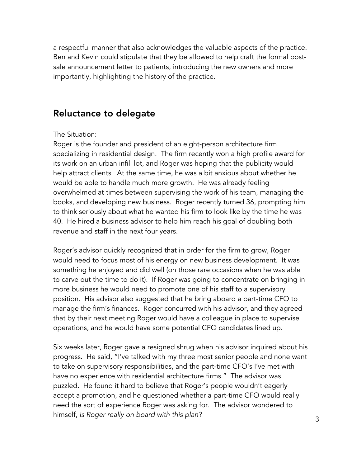a respectful manner that also acknowledges the valuable aspects of the practice. Ben and Kevin could stipulate that they be allowed to help craft the formal postsale announcement letter to patients, introducing the new owners and more importantly, highlighting the history of the practice.

### Reluctance to delegate

#### The Situation:

Roger is the founder and president of an eight-person architecture firm specializing in residential design. The firm recently won a high profile award for its work on an urban infill lot, and Roger was hoping that the publicity would help attract clients. At the same time, he was a bit anxious about whether he would be able to handle much more growth. He was already feeling overwhelmed at times between supervising the work of his team, managing the books, and developing new business. Roger recently turned 36, prompting him to think seriously about what he wanted his firm to look like by the time he was 40. He hired a business advisor to help him reach his goal of doubling both revenue and staff in the next four years.

Roger's advisor quickly recognized that in order for the firm to grow, Roger would need to focus most of his energy on new business development. It was something he enjoyed and did well (on those rare occasions when he was able to carve out the time to do it). If Roger was going to concentrate on bringing in more business he would need to promote one of his staff to a supervisory position. His advisor also suggested that he bring aboard a part-time CFO to manage the firm's finances. Roger concurred with his advisor, and they agreed that by their next meeting Roger would have a colleague in place to supervise operations, and he would have some potential CFO candidates lined up.

Six weeks later, Roger gave a resigned shrug when his advisor inquired about his progress. He said, "I've talked with my three most senior people and none want to take on supervisory responsibilities, and the part-time CFO's I've met with have no experience with residential architecture firms." The advisor was puzzled. He found it hard to believe that Roger's people wouldn't eagerly accept a promotion, and he questioned whether a part-time CFO would really need the sort of experience Roger was asking for. The advisor wondered to himself, *is Roger really on board with this plan?*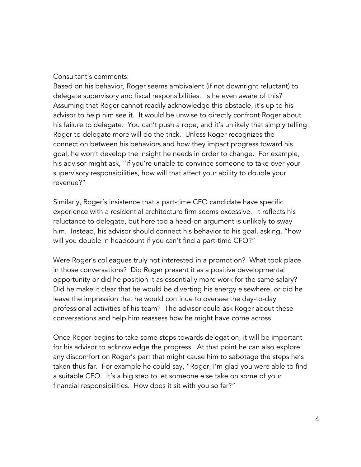#### Consultant's comments:

Based on his behavior, Roger seems ambivalent (if not downright reluctant) to delegate supervisory and fiscal responsibilities. Is he even aware of this? Assuming that Roger cannot readily acknowledge this obstacle, it's up to his advisor to help him see it. It would be unwise to directly confront Roger about his failure to delegate. You can't push a rope, and it's unlikely that simply telling Roger to delegate more will do the trick. Unless Roger recognizes the connection between his behaviors and how they impact progress toward his goal, he won't develop the insight he needs in order to change. For example, his advisor might ask, "if you're unable to convince someone to take over your supervisory responsibilities, how will that affect your ability to double your revenue?"

Similarly, Roger's insistence that a part-time CFO candidate have specific experience with a residential architecture firm seems excessive. It reflects his reluctance to delegate, but here too a head-on argument is unlikely to sway him. Instead, his advisor should connect his behavior to his goal, asking, "how will you double in headcount if you can't find a part-time CFO?"

Were Roger's colleagues truly not interested in a promotion? What took place in those conversations? Did Roger present it as a positive developmental opportunity or did he position it as essentially more work for the same salary? Did he make it clear that he would be diverting his energy elsewhere, or did he leave the impression that he would continue to oversee the day-to-day professional activities of his team? The advisor could ask Roger about these conversations and help him reassess how he might have come across.

Once Roger begins to take some steps towards delegation, it will be important for his advisor to acknowledge the progress. At that point he can also explore any discomfort on Roger's part that might cause him to sabotage the steps he's taken thus far. For example he could say, "Roger, I'm glad you were able to find a suitable CFO. It's a big step to let someone else take on some of your financial responsibilities. How does it sit with you so far?"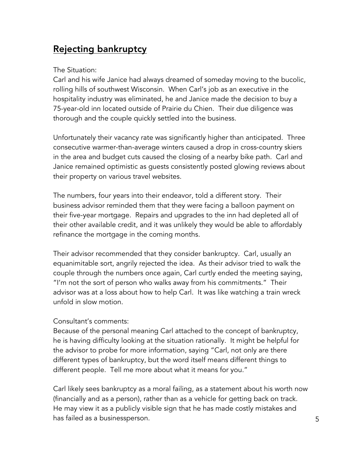# Rejecting bankruptcy

### The Situation:

Carl and his wife Janice had always dreamed of someday moving to the bucolic, rolling hills of southwest Wisconsin. When Carl's job as an executive in the hospitality industry was eliminated, he and Janice made the decision to buy a 75-year-old inn located outside of Prairie du Chien. Their due diligence was thorough and the couple quickly settled into the business.

Unfortunately their vacancy rate was significantly higher than anticipated. Three consecutive warmer-than-average winters caused a drop in cross-country skiers in the area and budget cuts caused the closing of a nearby bike path. Carl and Janice remained optimistic as guests consistently posted glowing reviews about their property on various travel websites.

The numbers, four years into their endeavor, told a different story. Their business advisor reminded them that they were facing a balloon payment on their five-year mortgage. Repairs and upgrades to the inn had depleted all of their other available credit, and it was unlikely they would be able to affordably refinance the mortgage in the coming months.

Their advisor recommended that they consider bankruptcy. Carl, usually an equanimitable sort, angrily rejected the idea. As their advisor tried to walk the couple through the numbers once again, Carl curtly ended the meeting saying, "I'm not the sort of person who walks away from his commitments." Their advisor was at a loss about how to help Carl. It was like watching a train wreck unfold in slow motion.

### Consultant's comments:

Because of the personal meaning Carl attached to the concept of bankruptcy, he is having difficulty looking at the situation rationally. It might be helpful for the advisor to probe for more information, saying "Carl, not only are there different types of bankruptcy, but the word itself means different things to different people. Tell me more about what it means for you."

Carl likely sees bankruptcy as a moral failing, as a statement about his worth now (financially and as a person), rather than as a vehicle for getting back on track. He may view it as a publicly visible sign that he has made costly mistakes and has failed as a businessperson.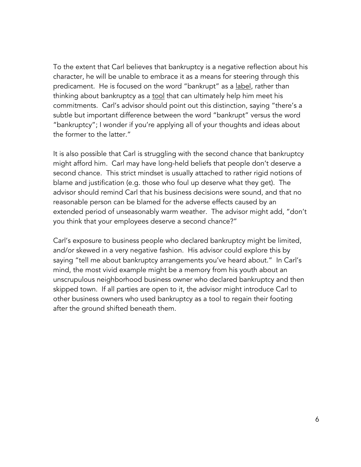To the extent that Carl believes that bankruptcy is a negative reflection about his character, he will be unable to embrace it as a means for steering through this predicament. He is focused on the word "bankrupt" as a label, rather than thinking about bankruptcy as a tool that can ultimately help him meet his commitments. Carl's advisor should point out this distinction, saying "there's a subtle but important difference between the word "bankrupt" versus the word "bankruptcy"; I wonder if you're applying all of your thoughts and ideas about the former to the latter."

It is also possible that Carl is struggling with the second chance that bankruptcy might afford him. Carl may have long-held beliefs that people don't deserve a second chance. This strict mindset is usually attached to rather rigid notions of blame and justification (e.g. those who foul up deserve what they get). The advisor should remind Carl that his business decisions were sound, and that no reasonable person can be blamed for the adverse effects caused by an extended period of unseasonably warm weather. The advisor might add, "don't you think that your employees deserve a second chance?"

Carl's exposure to business people who declared bankruptcy might be limited, and/or skewed in a very negative fashion. His advisor could explore this by saying "tell me about bankruptcy arrangements you've heard about." In Carl's mind, the most vivid example might be a memory from his youth about an unscrupulous neighborhood business owner who declared bankruptcy and then skipped town. If all parties are open to it, the advisor might introduce Carl to other business owners who used bankruptcy as a tool to regain their footing after the ground shifted beneath them.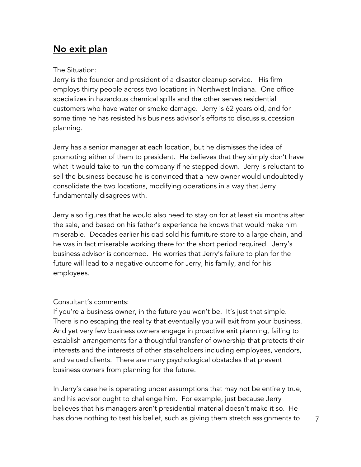### No exit plan

### The Situation:

Jerry is the founder and president of a disaster cleanup service. His firm employs thirty people across two locations in Northwest Indiana. One office specializes in hazardous chemical spills and the other serves residential customers who have water or smoke damage. Jerry is 62 years old, and for some time he has resisted his business advisor's efforts to discuss succession planning.

Jerry has a senior manager at each location, but he dismisses the idea of promoting either of them to president. He believes that they simply don't have what it would take to run the company if he stepped down. Jerry is reluctant to sell the business because he is convinced that a new owner would undoubtedly consolidate the two locations, modifying operations in a way that Jerry fundamentally disagrees with.

Jerry also figures that he would also need to stay on for at least six months after the sale, and based on his father's experience he knows that would make him miserable. Decades earlier his dad sold his furniture store to a large chain, and he was in fact miserable working there for the short period required. Jerry's business advisor is concerned. He worries that Jerry's failure to plan for the future will lead to a negative outcome for Jerry, his family, and for his employees.

### Consultant's comments:

If you're a business owner, in the future you won't be. It's just that simple. There is no escaping the reality that eventually you will exit from your business. And yet very few business owners engage in proactive exit planning, failing to establish arrangements for a thoughtful transfer of ownership that protects their interests and the interests of other stakeholders including employees, vendors, and valued clients. There are many psychological obstacles that prevent business owners from planning for the future.

In Jerry's case he is operating under assumptions that may not be entirely true, and his advisor ought to challenge him. For example, just because Jerry believes that his managers aren't presidential material doesn't make it so. He has done nothing to test his belief, such as giving them stretch assignments to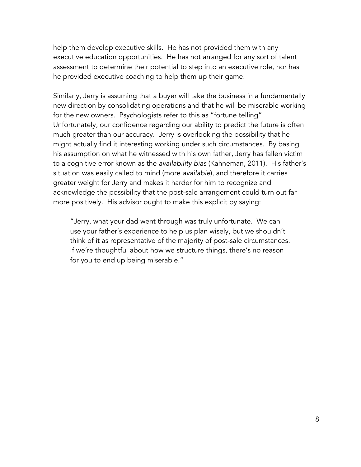help them develop executive skills. He has not provided them with any executive education opportunities. He has not arranged for any sort of talent assessment to determine their potential to step into an executive role, nor has he provided executive coaching to help them up their game.

Similarly, Jerry is assuming that a buyer will take the business in a fundamentally new direction by consolidating operations and that he will be miserable working for the new owners. Psychologists refer to this as "fortune telling". Unfortunately, our confidence regarding our ability to predict the future is often much greater than our accuracy. Jerry is overlooking the possibility that he might actually find it interesting working under such circumstances. By basing his assumption on what he witnessed with his own father, Jerry has fallen victim to a cognitive error known as the *availability bias* (Kahneman, 2011). His father's situation was easily called to mind (more *available*), and therefore it carries greater weight for Jerry and makes it harder for him to recognize and acknowledge the possibility that the post-sale arrangement could turn out far more positively. His advisor ought to make this explicit by saying:

"Jerry, what your dad went through was truly unfortunate. We can use your father's experience to help us plan wisely, but we shouldn't think of it as representative of the majority of post-sale circumstances. If we're thoughtful about how we structure things, there's no reason for you to end up being miserable."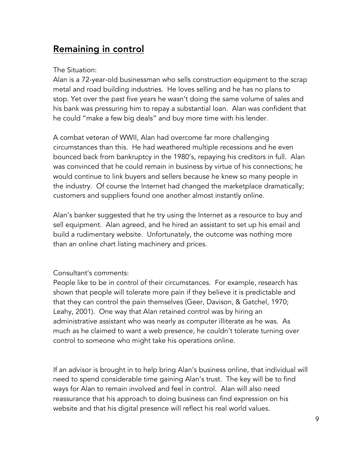### Remaining in control

### The Situation:

Alan is a 72-year-old businessman who sells construction equipment to the scrap metal and road building industries. He loves selling and he has no plans to stop. Yet over the past five years he wasn't doing the same volume of sales and his bank was pressuring him to repay a substantial loan. Alan was confident that he could "make a few big deals" and buy more time with his lender.

A combat veteran of WWII, Alan had overcome far more challenging circumstances than this. He had weathered multiple recessions and he even bounced back from bankruptcy in the 1980's, repaying his creditors in full. Alan was convinced that he could remain in business by virtue of his connections; he would continue to link buyers and sellers because he knew so many people in the industry. Of course the Internet had changed the marketplace dramatically; customers and suppliers found one another almost instantly online.

Alan's banker suggested that he try using the Internet as a resource to buy and sell equipment. Alan agreed, and he hired an assistant to set up his email and build a rudimentary website. Unfortunately, the outcome was nothing more than an online chart listing machinery and prices.

### Consultant's comments:

People like to be in control of their circumstances. For example, research has shown that people will tolerate more pain if they believe it is predictable and that they can control the pain themselves (Geer, Davison, & Gatchel, 1970; Leahy, 2001). One way that Alan retained control was by hiring an administrative assistant who was nearly as computer illiterate as he was. As much as he claimed to want a web presence, he couldn't tolerate turning over control to someone who might take his operations online.

If an advisor is brought in to help bring Alan's business online, that individual will need to spend considerable time gaining Alan's trust. The key will be to find ways for Alan to remain involved and feel in control. Alan will also need reassurance that his approach to doing business can find expression on his website and that his digital presence will reflect his real world values.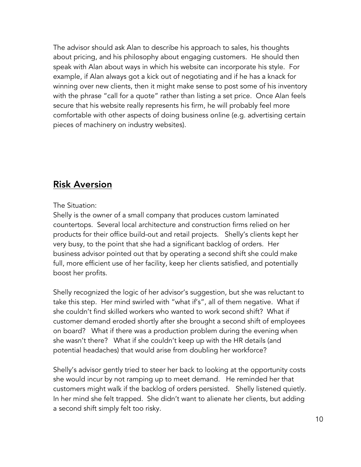The advisor should ask Alan to describe his approach to sales, his thoughts about pricing, and his philosophy about engaging customers. He should then speak with Alan about ways in which his website can incorporate his style. For example, if Alan always got a kick out of negotiating and if he has a knack for winning over new clients, then it might make sense to post some of his inventory with the phrase "call for a quote" rather than listing a set price. Once Alan feels secure that his website really represents his firm, he will probably feel more comfortable with other aspects of doing business online (e.g. advertising certain pieces of machinery on industry websites).

### Risk Aversion

### The Situation:

Shelly is the owner of a small company that produces custom laminated countertops. Several local architecture and construction firms relied on her products for their office build-out and retail projects. Shelly's clients kept her very busy, to the point that she had a significant backlog of orders. Her business advisor pointed out that by operating a second shift she could make full, more efficient use of her facility, keep her clients satisfied, and potentially boost her profits.

Shelly recognized the logic of her advisor's suggestion, but she was reluctant to take this step. Her mind swirled with "what if's", all of them negative. What if she couldn't find skilled workers who wanted to work second shift? What if customer demand eroded shortly after she brought a second shift of employees on board? What if there was a production problem during the evening when she wasn't there? What if she couldn't keep up with the HR details (and potential headaches) that would arise from doubling her workforce?

Shelly's advisor gently tried to steer her back to looking at the opportunity costs she would incur by not ramping up to meet demand. He reminded her that customers might walk if the backlog of orders persisted. Shelly listened quietly. In her mind she felt trapped. She didn't want to alienate her clients, but adding a second shift simply felt too risky.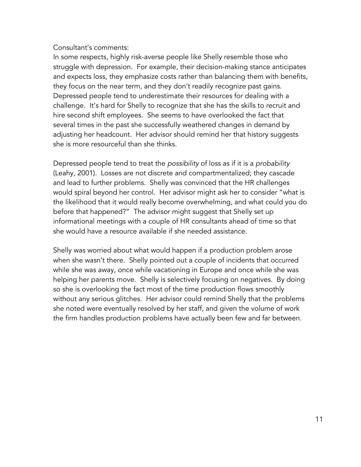### Consultant's comments:

In some respects, highly risk-averse people like Shelly resemble those who struggle with depression. For example, their decision-making stance anticipates and expects loss, they emphasize costs rather than balancing them with benefits, they focus on the near term, and they don't readily recognize past gains. Depressed people tend to underestimate their resources for dealing with a challenge. It's hard for Shelly to recognize that she has the skills to recruit and hire second shift employees. She seems to have overlooked the fact that several times in the past she successfully weathered changes in demand by adjusting her headcount. Her advisor should remind her that history suggests she is more resourceful than she thinks.

Depressed people tend to treat the *possibility* of loss as if it is a *probability* (Leahy, 2001). Losses are not discrete and compartmentalized; they cascade and lead to further problems. Shelly was convinced that the HR challenges would spiral beyond her control. Her advisor might ask her to consider "what is the likelihood that it would really become overwhelming, and what could you do before that happened?" The advisor might suggest that Shelly set up informational meetings with a couple of HR consultants ahead of time so that she would have a resource available if she needed assistance.

Shelly was worried about what would happen if a production problem arose when she wasn't there. Shelly pointed out a couple of incidents that occurred while she was away, once while vacationing in Europe and once while she was helping her parents move. Shelly is selectively focusing on negatives. By doing so she is overlooking the fact most of the time production flows smoothly without any serious glitches. Her advisor could remind Shelly that the problems she noted were eventually resolved by her staff, and given the volume of work the firm handles production problems have actually been few and far between.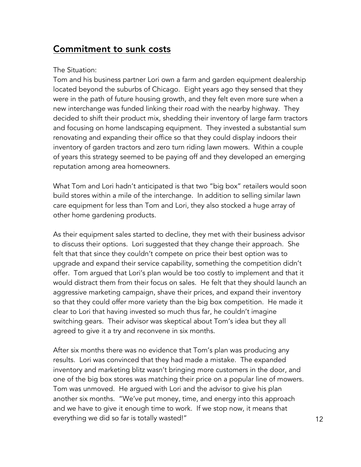### Commitment to sunk costs

### The Situation:

Tom and his business partner Lori own a farm and garden equipment dealership located beyond the suburbs of Chicago. Eight years ago they sensed that they were in the path of future housing growth, and they felt even more sure when a new interchange was funded linking their road with the nearby highway. They decided to shift their product mix, shedding their inventory of large farm tractors and focusing on home landscaping equipment. They invested a substantial sum renovating and expanding their office so that they could display indoors their inventory of garden tractors and zero turn riding lawn mowers. Within a couple of years this strategy seemed to be paying off and they developed an emerging reputation among area homeowners.

What Tom and Lori hadn't anticipated is that two "big box" retailers would soon build stores within a mile of the interchange. In addition to selling similar lawn care equipment for less than Tom and Lori, they also stocked a huge array of other home gardening products.

As their equipment sales started to decline, they met with their business advisor to discuss their options. Lori suggested that they change their approach. She felt that that since they couldn't compete on price their best option was to upgrade and expand their service capability, something the competition didn't offer. Tom argued that Lori's plan would be too costly to implement and that it would distract them from their focus on sales. He felt that they should launch an aggressive marketing campaign, shave their prices, and expand their inventory so that they could offer more variety than the big box competition. He made it clear to Lori that having invested so much thus far, he couldn't imagine switching gears. Their advisor was skeptical about Tom's idea but they all agreed to give it a try and reconvene in six months.

After six months there was no evidence that Tom's plan was producing any results. Lori was convinced that they had made a mistake. The expanded inventory and marketing blitz wasn't bringing more customers in the door, and one of the big box stores was matching their price on a popular line of mowers. Tom was unmoved. He argued with Lori and the advisor to give his plan another six months. "We've put money, time, and energy into this approach and we have to give it enough time to work. If we stop now, it means that everything we did so far is totally wasted!"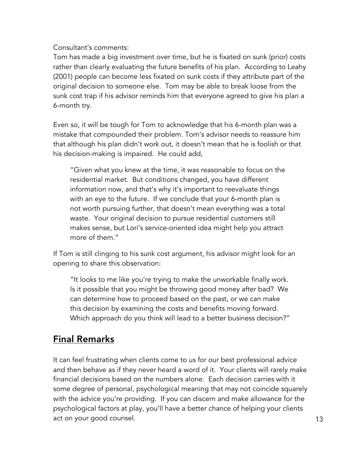Consultant's comments:

Tom has made a big investment over time, but he is fixated on sunk (prior) costs rather than clearly evaluating the future benefits of his plan. According to Leahy (2001) people can become less fixated on sunk costs if they attribute part of the original decision to someone else. Tom may be able to break loose from the sunk cost trap if his advisor reminds him that everyone agreed to give his plan a 6-month try.

Even so, it will be tough for Tom to acknowledge that his 6-month plan was a mistake that compounded their problem. Tom's advisor needs to reassure him that although his plan didn't work out, it doesn't mean that he is foolish or that his decision-making is impaired. He could add,

"Given what you knew at the time, it was reasonable to focus on the residential market. But conditions changed, you have different information now, and that's why it's important to reevaluate things with an eye to the future. If we conclude that your 6-month plan is not worth pursuing further, that doesn't mean everything was a total waste. Your original decision to pursue residential customers still makes sense, but Lori's service-oriented idea might help you attract more of them."

If Tom is still clinging to his sunk cost argument, his advisor might look for an opening to share this observation:

"It looks to me like you're trying to make the unworkable finally work. Is it possible that you might be throwing good money after bad? We can determine how to proceed based on the past, or we can make this decision by examining the costs and benefits moving forward. Which approach do you think will lead to a better business decision?"

## Final Remarks

It can feel frustrating when clients come to us for our best professional advice and then behave as if they never heard a word of it. Your clients will rarely make financial decisions based on the numbers alone. Each decision carries with it some degree of personal, psychological meaning that may not coincide squarely with the advice you're providing. If you can discern and make allowance for the psychological factors at play, you'll have a better chance of helping your clients act on your good counsel.